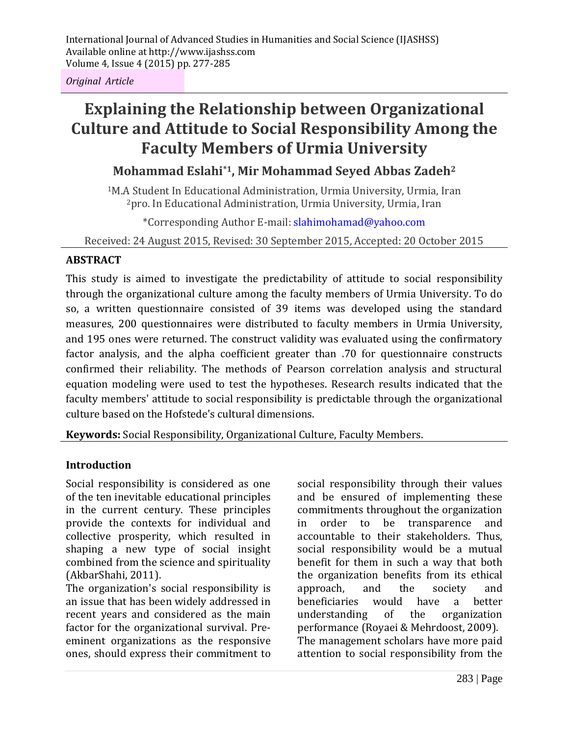*Original Article*

# **Explaining the Relationship between Organizational Culture and Attitude to Social Responsibility Among the Faculty Members of Urmia University**

## **Mohammad Eslahi\*1, Mir Mohammad Seyed Abbas Zadeh<sup>2</sup>**

<sup>1</sup>M.A Student In Educational Administration, Urmia University, Urmia, Iran <sup>2</sup>pro. In Educational Administration, Urmia University, Urmia, Iran

\*Corresponding Author E-mail: slahimohamad@yahoo.com

Received: 24 August 2015, Revised: 30 September 2015, Accepted: 20 October 2015

#### **ABSTRACT**

This study is aimed to investigate the predictability of attitude to social responsibility through the organizational culture among the faculty members of Urmia University. To do so, a written questionnaire consisted of 39 items was developed using the standard measures, 200 questionnaires were distributed to faculty members in Urmia University, and 195 ones were returned. The construct validity was evaluated using the confirmatory factor analysis, and the alpha coefficient greater than .70 for questionnaire constructs confirmed their reliability. The methods of Pearson correlation analysis and structural equation modeling were used to test the hypotheses. Research results indicated that the faculty members' attitude to social responsibility is predictable through the organizational culture based on the Hofstede's cultural dimensions.

**Keywords:** Social Responsibility, Organizational Culture, Faculty Members.

## **Introduction**

Social responsibility is considered as one of the ten inevitable educational principles in the current century. These principles provide the contexts for individual and collective prosperity, which resulted in shaping a new type of social insight combined from the science and spirituality (AkbarShahi, 2011).

The organization's social responsibility is an issue that has been widely addressed in recent years and considered as the main factor for the organizational survival. Preeminent organizations as the responsive ones, should express their commitment to

social responsibility through their values and be ensured of implementing these commitments throughout the organization in order to be transparence and accountable to their stakeholders. Thus, social responsibility would be a mutual benefit for them in such a way that both the organization benefits from its ethical approach, and the society and beneficiaries would have a better understanding of the organization performance (Royaei & Mehrdoost, 2009). The management scholars have more paid attention to social responsibility from the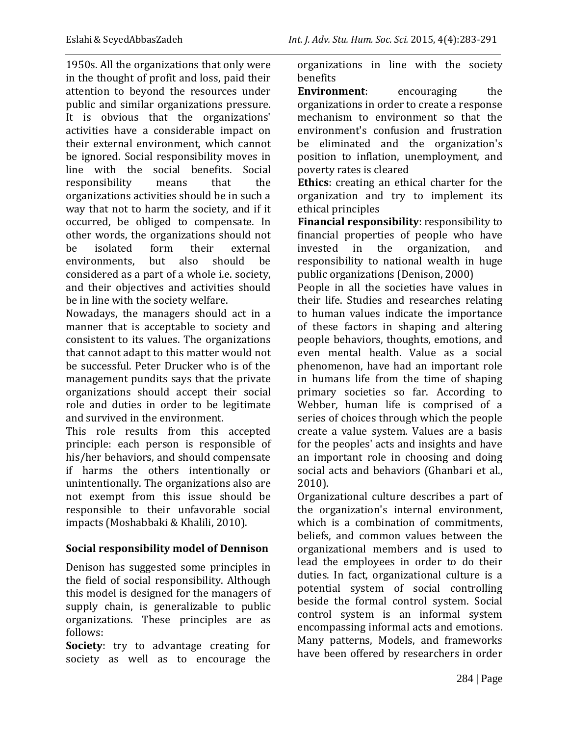1950s. All the organizations that only were in the thought of profit and loss, paid their attention to beyond the resources under public and similar organizations pressure. It is obvious that the organizations' activities have a considerable impact on their external environment, which cannot be ignored. Social responsibility moves in line with the social benefits. Social responsibility means that the organizations activities should be in such a way that not to harm the society, and if it occurred, be obliged to compensate. In other words, the organizations should not be isolated form their external environments, but also should be considered as a part of a whole i.e. society, and their objectives and activities should be in line with the society welfare.

Nowadays, the managers should act in a manner that is acceptable to society and consistent to its values. The organizations that cannot adapt to this matter would not be successful. Peter Drucker who is of the management pundits says that the private organizations should accept their social role and duties in order to be legitimate and survived in the environment.

This role results from this accepted principle: each person is responsible of his/her behaviors, and should compensate if harms the others intentionally or unintentionally. The organizations also are not exempt from this issue should be responsible to their unfavorable social impacts (Moshabbaki & Khalili, 2010).

## **Social responsibility model of Dennison**

Denison has suggested some principles in the field of social responsibility. Although this model is designed for the managers of supply chain, is generalizable to public organizations. These principles are as follows:

**Society**: try to advantage creating for society as well as to encourage the organizations in line with the society benefits

**Environment**: encouraging the organizations in order to create a response mechanism to environment so that the environment's confusion and frustration be eliminated and the organization's position to inflation, unemployment, and poverty rates is cleared

**Ethics**: creating an ethical charter for the organization and try to implement its ethical principles

**Financial responsibility**: responsibility to financial properties of people who have invested in the organization, and responsibility to national wealth in huge public organizations (Denison, 2000)

People in all the societies have values in their life. Studies and researches relating to human values indicate the importance of these factors in shaping and altering people behaviors, thoughts, emotions, and even mental health. Value as a social phenomenon, have had an important role in humans life from the time of shaping primary societies so far. According to Webber, human life is comprised of a series of choices through which the people create a value system. Values are a basis for the peoples' acts and insights and have an important role in choosing and doing social acts and behaviors (Ghanbari et al., 2010).

Organizational culture describes a part of the organization's internal environment, which is a combination of commitments. beliefs, and common values between the organizational members and is used to lead the employees in order to do their duties. In fact, organizational culture is a potential system of social controlling beside the formal control system. Social control system is an informal system encompassing informal acts and emotions. Many patterns, Models, and frameworks have been offered by researchers in order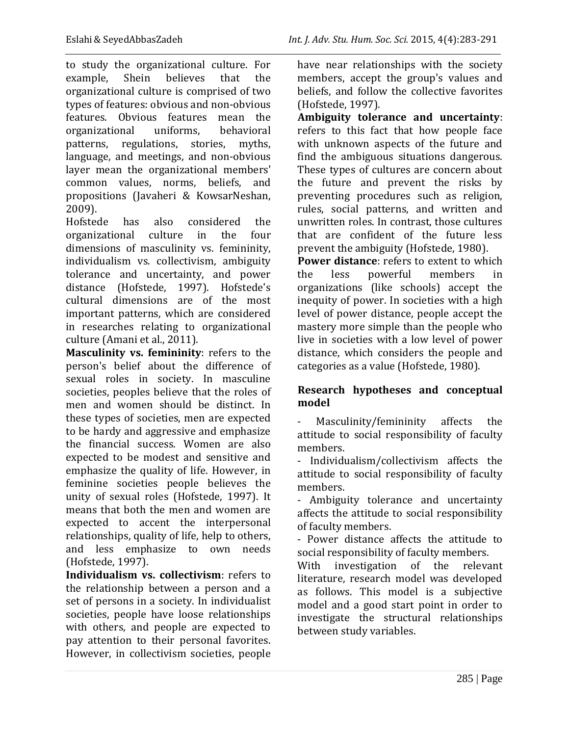to study the organizational culture. For example, Shein believes that the organizational culture is comprised of two types of features: obvious and non-obvious features. Obvious features mean the organizational uniforms, behavioral patterns, regulations, stories, myths, language, and meetings, and non-obvious layer mean the organizational members' common values, norms, beliefs, and propositions (Javaheri & KowsarNeshan, 2009).

Hofstede has also considered the organizational culture in the four dimensions of masculinity vs. femininity, individualism vs. collectivism, ambiguity tolerance and uncertainty, and power distance (Hofstede, 1997). Hofstede's cultural dimensions are of the most important patterns, which are considered in researches relating to organizational culture (Amani et al., 2011).

**Masculinity vs. femininity**: refers to the person's belief about the difference of sexual roles in society. In masculine societies, peoples believe that the roles of men and women should be distinct. In these types of societies, men are expected to be hardy and aggressive and emphasize the financial success. Women are also expected to be modest and sensitive and emphasize the quality of life. However, in feminine societies people believes the unity of sexual roles (Hofstede, 1997). It means that both the men and women are expected to accent the interpersonal relationships, quality of life, help to others, and less emphasize to own needs (Hofstede, 1997).

**Individualism vs. collectivism**: refers to the relationship between a person and a set of persons in a society. In individualist societies, people have loose relationships with others, and people are expected to pay attention to their personal favorites. However, in collectivism societies, people have near relationships with the society members, accept the group's values and beliefs, and follow the collective favorites (Hofstede, 1997).

**Ambiguity tolerance and uncertainty**: refers to this fact that how people face with unknown aspects of the future and find the ambiguous situations dangerous. These types of cultures are concern about the future and prevent the risks by preventing procedures such as religion, rules, social patterns, and written and unwritten roles. In contrast, those cultures that are confident of the future less prevent the ambiguity (Hofstede, 1980).

**Power distance**: refers to extent to which the less powerful members in organizations (like schools) accept the inequity of power. In societies with a high level of power distance, people accept the mastery more simple than the people who live in societies with a low level of power distance, which considers the people and categories as a value (Hofstede, 1980).

## **Research hypotheses and conceptual model**

Masculinity/femininity affects the attitude to social responsibility of faculty members.

- Individualism/collectivism affects the attitude to social responsibility of faculty members.

- Ambiguity tolerance and uncertainty affects the attitude to social responsibility of faculty members.

- Power distance affects the attitude to social responsibility of faculty members.

With investigation of the relevant literature, research model was developed as follows. This model is a subjective model and a good start point in order to investigate the structural relationships between study variables.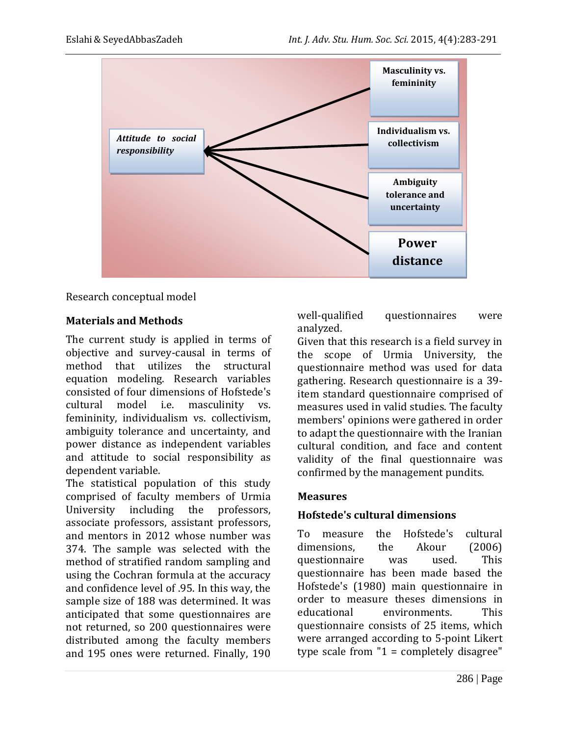

#### Research conceptual model

#### **Materials and Methods**

The current study is applied in terms of objective and survey-causal in terms of method that utilizes the structural equation modeling. Research variables consisted of four dimensions of Hofstede's cultural model i.e. masculinity vs. femininity, individualism vs. collectivism, ambiguity tolerance and uncertainty, and power distance as independent variables and attitude to social responsibility as dependent variable.

The statistical population of this study comprised of faculty members of Urmia University including the professors, associate professors, assistant professors, and mentors in 2012 whose number was 374. The sample was selected with the method of stratified random sampling and using the Cochran formula at the accuracy and confidence level of .95. In this way, the sample size of 188 was determined. It was anticipated that some questionnaires are not returned, so 200 questionnaires were distributed among the faculty members and 195 ones were returned. Finally, 190

well-qualified questionnaires were analyzed.

Given that this research is a field survey in the scope of Urmia University, the questionnaire method was used for data gathering. Research questionnaire is a 39 item standard questionnaire comprised of measures used in valid studies. The faculty members' opinions were gathered in order to adapt the questionnaire with the Iranian cultural condition, and face and content validity of the final questionnaire was confirmed by the management pundits.

#### **Measures**

## **Hofstede's cultural dimensions**

To measure the Hofstede's cultural dimensions, the Akour (2006) questionnaire was used. This questionnaire has been made based the Hofstede's (1980) main questionnaire in order to measure theses dimensions in educational environments. This questionnaire consists of 25 items, which were arranged according to 5-point Likert type scale from  $"1 =$  completely disagree"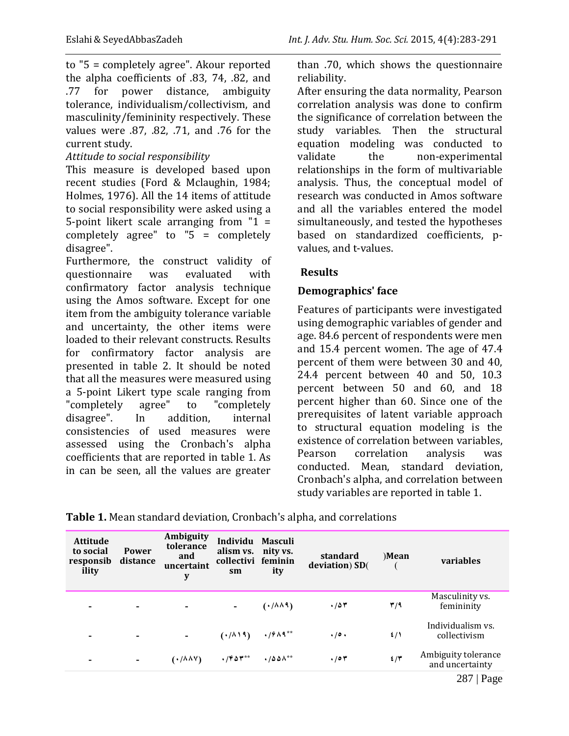to "5 = completely agree". Akour reported the alpha coefficients of .83, 74, .82, and .77 for power distance, ambiguity tolerance, individualism/collectivism, and masculinity/femininity respectively. These values were .87, .82, .71, and .76 for the current study.

### *Attitude to social responsibility*

This measure is developed based upon recent studies (Ford & Mclaughin, 1984; Holmes, 1976). All the 14 items of attitude to social responsibility were asked using a 5-point likert scale arranging from "1 = completely agree" to "5 = completely disagree".

Furthermore, the construct validity of questionnaire was evaluated with confirmatory factor analysis technique using the Amos software. Except for one item from the ambiguity tolerance variable and uncertainty, the other items were loaded to their relevant constructs. Results for confirmatory factor analysis are presented in table 2. It should be noted that all the measures were measured using a 5-point Likert type scale ranging from "completely agree" to "completely disagree". In addition, internal consistencies of used measures were assessed using the Cronbach's alpha coefficients that are reported in table 1. As in can be seen, all the values are greater

than .70, which shows the questionnaire reliability.

After ensuring the data normality, Pearson correlation analysis was done to confirm the significance of correlation between the study variables. Then the structural equation modeling was conducted to validate the non-experimental relationships in the form of multivariable analysis. Thus, the conceptual model of research was conducted in Amos software and all the variables entered the model simultaneously, and tested the hypotheses based on standardized coefficients, pvalues, and t-values.

## **Results**

#### **Demographics' face**

Features of participants were investigated using demographic variables of gender and age. 84.6 percent of respondents were men and 15.4 percent women. The age of 47.4 percent of them were between 30 and 40, 24.4 percent between 40 and 50, 10.3 percent between 50 and 60, and 18 percent higher than 60. Since one of the prerequisites of latent variable approach to structural equation modeling is the existence of correlation between variables, Pearson correlation analysis was conducted. Mean, standard deviation, Cronbach's alpha, and correlation between study variables are reported in table 1.

| <b>Attitude</b><br>to social<br>responsib<br>ility | <b>Power</b><br>distance | Ambiguity<br>tolerance<br>and<br>uncertaint<br>y | Individu Masculi<br>alism vs. nity vs.<br>collectivi feminin<br>sm | ity                                    | standard<br>deviation) SD( | )Mean         | variables                              |
|----------------------------------------------------|--------------------------|--------------------------------------------------|--------------------------------------------------------------------|----------------------------------------|----------------------------|---------------|----------------------------------------|
| $\overline{\phantom{a}}$                           | -                        |                                                  |                                                                    | $(1/\lambda \lambda 9)$                | .787                       | ۳/۹           | Masculinity vs.<br>femininity          |
| $\overline{\phantom{a}}$                           | $\overline{\phantom{a}}$ |                                                  | $(\cdot/\lambda)$ )                                                | $\cdot$ / $9\AA$ <sup>**</sup>         | $\cdot / \circ \cdot$      | $\frac{2}{3}$ | Individualism vs.<br>collectivism      |
| $\overline{\phantom{a}}$                           | $\blacksquare$           | $(\cdot/\lambda\lambda\vee)$                     | $\cdot$ /۴۵۳**                                                     | $\cdot$ / $\Delta \Delta \Lambda^{**}$ | .704                       | 2/7           | Ambiguity tolerance<br>and uncertainty |
|                                                    |                          |                                                  |                                                                    |                                        |                            |               | Page<br>287                            |

|  | Table 1. Mean standard deviation, Cronbach's alpha, and correlations |
|--|----------------------------------------------------------------------|
|--|----------------------------------------------------------------------|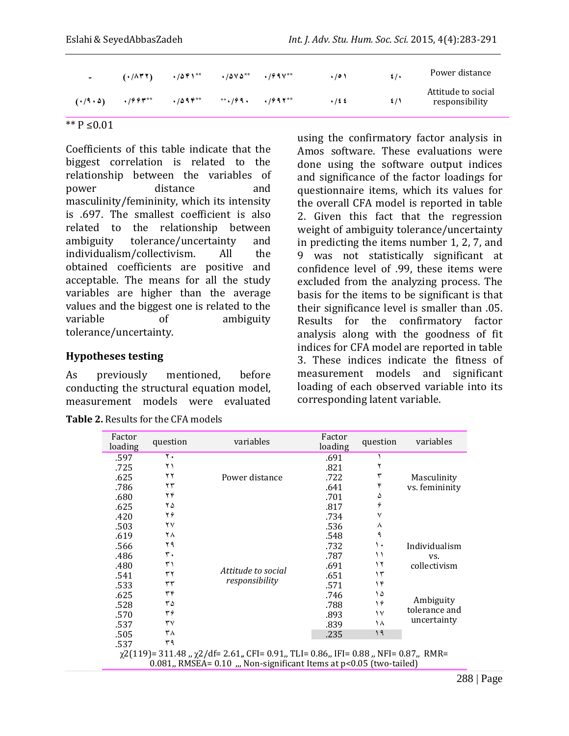| $\sim$                | $(1/\lambda TT)$ | $\cdot$ /541 $^{**}$ | $\cdot$ / $\Delta$ Y $\Delta^{**}$ $\cdot$ / $\theta$ 9 V $^{**}$ | .001 | $\sharp$ /. | Power distance                       |
|-----------------------|------------------|----------------------|-------------------------------------------------------------------|------|-------------|--------------------------------------|
| $(1.19 \cdot \Delta)$ | $\cdot$ /99۳**   | $.7094***$           | ***/99. ./997**                                                   | .125 | 5/1         | Attitude to social<br>responsibility |

\*\* P ≤0.01

Coefficients of this table indicate that the biggest correlation is related to the relationship between the variables of power distance and masculinity/femininity, which its intensity is .697. The smallest coefficient is also related to the relationship between ambiguity tolerance/uncertainty and individualism/collectivism. All the obtained coefficients are positive and acceptable. The means for all the study variables are higher than the average values and the biggest one is related to the variable of ambiguity tolerance/uncertainty.

#### **Hypotheses testing**

As previously mentioned, before conducting the structural equation model, measurement models were evaluated

| <b>Table 2. Results for the CFA models</b> |  |  |  |  |
|--------------------------------------------|--|--|--|--|
|--------------------------------------------|--|--|--|--|

using the confirmatory factor analysis in Amos software. These evaluations were done using the software output indices and significance of the factor loadings for questionnaire items, which its values for the overall CFA model is reported in table 2. Given this fact that the regression weight of ambiguity tolerance/uncertainty in predicting the items number 1, 2, 7, and 9 was not statistically significant at confidence level of .99, these items were excluded from the analyzing process. The basis for the items to be significant is that their significance level is smaller than .05. Results for the confirmatory factor analysis along with the goodness of fit indices for CFA model are reported in table 3. These indices indicate the fitness of measurement models and significant loading of each observed variable into its corresponding latent variable.

| ۲.<br>.597<br>.691<br>۲ ۱<br>.821<br>.725<br>۲۲<br>.625<br>Power distance<br>.722<br>Masculinity<br>۴<br>۲۳<br>.786<br>.641<br>vs. femininity<br>۲۴<br>۵<br>.680<br>.701<br>4<br>۲۵<br>.625<br>.817<br>۲۶<br>٧<br>.420<br>.734<br>۲٧<br>.503<br>.536<br>٨<br>٩<br>۲۸<br>.548 | Factor<br>loading |  |  |  |  |  |
|------------------------------------------------------------------------------------------------------------------------------------------------------------------------------------------------------------------------------------------------------------------------------|-------------------|--|--|--|--|--|
|                                                                                                                                                                                                                                                                              |                   |  |  |  |  |  |
|                                                                                                                                                                                                                                                                              |                   |  |  |  |  |  |
|                                                                                                                                                                                                                                                                              |                   |  |  |  |  |  |
|                                                                                                                                                                                                                                                                              |                   |  |  |  |  |  |
|                                                                                                                                                                                                                                                                              |                   |  |  |  |  |  |
|                                                                                                                                                                                                                                                                              |                   |  |  |  |  |  |
|                                                                                                                                                                                                                                                                              |                   |  |  |  |  |  |
|                                                                                                                                                                                                                                                                              |                   |  |  |  |  |  |
|                                                                                                                                                                                                                                                                              | .619              |  |  |  |  |  |
| ۲۹<br>.732<br>١.<br>Individualism<br>.566                                                                                                                                                                                                                                    |                   |  |  |  |  |  |
| ٣.<br>۱۱<br>.486<br>.787<br>VS.                                                                                                                                                                                                                                              |                   |  |  |  |  |  |
| ۳۱<br>۱۲<br>.691<br>collectivism<br>.480<br>Attitude to social                                                                                                                                                                                                               |                   |  |  |  |  |  |
| ٣٢<br>۱۳<br>.541<br>.651                                                                                                                                                                                                                                                     |                   |  |  |  |  |  |
| responsibility<br>٣٣<br>۱۴<br>.571<br>.533                                                                                                                                                                                                                                   |                   |  |  |  |  |  |
| ٣۴<br>۱۵<br>.625<br>.746                                                                                                                                                                                                                                                     |                   |  |  |  |  |  |
| Ambiguity<br>۱۶<br>۳۵<br>.528<br>.788                                                                                                                                                                                                                                        |                   |  |  |  |  |  |
| tolerance and<br>۳۶<br>١٧<br>.893<br>.570                                                                                                                                                                                                                                    |                   |  |  |  |  |  |
| uncertainty<br>٣٧<br>۱۸<br>.537<br>.839                                                                                                                                                                                                                                      |                   |  |  |  |  |  |
| ۱۹<br>۳۸<br>.505<br>.235                                                                                                                                                                                                                                                     |                   |  |  |  |  |  |
| ۳۹<br>.537                                                                                                                                                                                                                                                                   |                   |  |  |  |  |  |
| $\chi$ 2(119) = 311.48, $\chi$ 2/df = 2.61, CFI = 0.91, TLI = 0.86, IFI = 0.88, NFI = 0.87, RMR =<br>$0.081$ , RMSEA= $0.10$ , Non-significant Items at $p<0.05$ (two-tailed)                                                                                                |                   |  |  |  |  |  |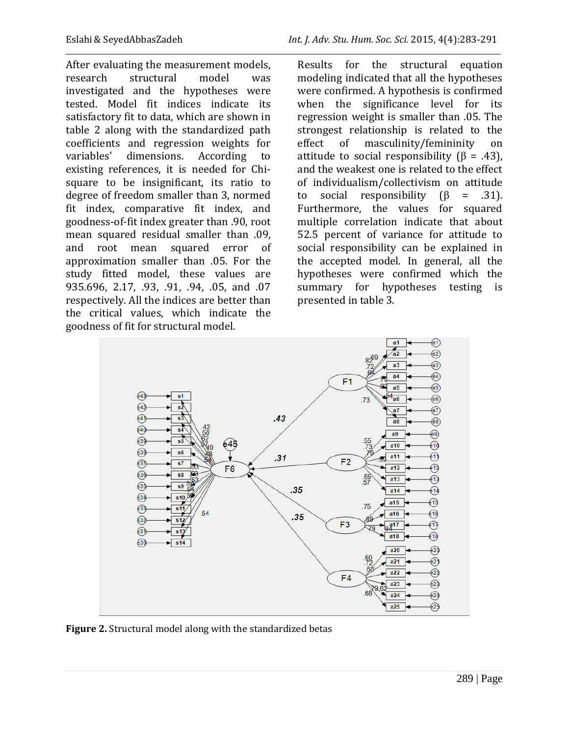After evaluating the measurement models, research structural model was investigated and the hypotheses were tested. Model fit indices indicate its satisfactory fit to data, which are shown in table 2 along with the standardized path coefficients and regression weights for variables' dimensions. According to existing references, it is needed for Chisquare to be insignificant, its ratio to degree of freedom smaller than 3, normed fit index, comparative fit index, and goodness-of-fit index greater than .90, root mean squared residual smaller than .09, and root mean squared error of approximation smaller than .05. For the study fitted model, these values are 935.696, 2.17, .93, .91, .94, .05, and .07 respectively. All the indices are better than the critical values, which indicate the goodness of fit for structural model.

Results for the structural equation modeling indicated that all the hypotheses were confirmed. A hypothesis is confirmed when the significance level for its regression weight is smaller than .05. The strongest relationship is related to the effect of masculinity/femininity on attitude to social responsibility  $(\beta = .43)$ , and the weakest one is related to the effect of individualism/collectivism on attitude to social responsibility  $(\beta = .31)$ . Furthermore, the values for squared multiple correlation indicate that about 52.5 percent of variance for attitude to social responsibility can be explained in the accepted model. In general, all the hypotheses were confirmed which the summary for hypotheses testing is presented in table 3.



**Figure 2.** Structural model along with the standardized betas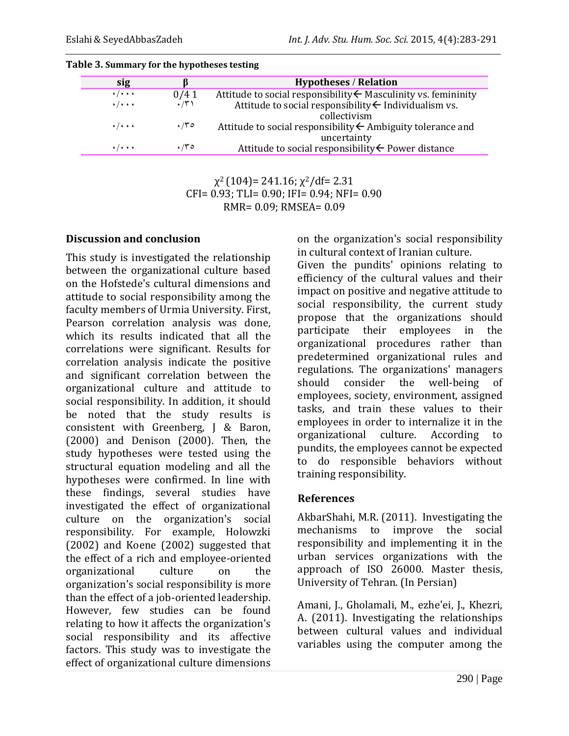| sig                       |             | <b>Hypotheses / Relation</b>                                                          |
|---------------------------|-------------|---------------------------------------------------------------------------------------|
| $\cdot/\cdot\cdot\cdot$   | 0/41        | Attitude to social responsibility $\leftarrow$ Masculinity vs. femininity             |
| $\cdot/\cdot\cdot\cdot$   | $\cdot$ /۳) | Attitude to social responsibility $\leftarrow$ Individualism vs.<br>collectivism      |
| $\cdot$ / $\cdot$ $\cdot$ | $\cdot$ /۳۰ | Attitude to social responsibility $\leftarrow$ Ambiguity tolerance and<br>uncertainty |
| $\cdot$ / $\cdot$ $\cdot$ | $\cdot$ /۳۰ | Attitude to social responsibility ← Power distance                                    |

| Table 3. Summary for the hypotheses testing |  |  |
|---------------------------------------------|--|--|
|                                             |  |  |

 $\chi^2$  (104) = 241.16;  $\chi^2$ /df = 2.31 CFI= 0.93; TLI= 0.90; IFI= 0.94; NFI= 0.90 RMR= 0.09; RMSEA= 0.09

#### **Discussion and conclusion**

This study is investigated the relationship between the organizational culture based on the Hofstede's cultural dimensions and attitude to social responsibility among the faculty members of Urmia University. First, Pearson correlation analysis was done, which its results indicated that all the correlations were significant. Results for correlation analysis indicate the positive and significant correlation between the organizational culture and attitude to social responsibility. In addition, it should be noted that the study results is consistent with Greenberg, J & Baron, (2000) and Denison (2000). Then, the study hypotheses were tested using the structural equation modeling and all the hypotheses were confirmed. In line with these findings, several studies have investigated the effect of organizational culture on the organization's social responsibility. For example, Holowzki (2002) and Koene (2002) suggested that the effect of a rich and employee-oriented organizational culture on the organization's social responsibility is more than the effect of a job-oriented leadership. However, few studies can be found relating to how it affects the organization's social responsibility and its affective factors. This study was to investigate the effect of organizational culture dimensions

on the organization's social responsibility in cultural context of Iranian culture.

Given the pundits' opinions relating to efficiency of the cultural values and their impact on positive and negative attitude to social responsibility, the current study propose that the organizations should participate their employees in the organizational procedures rather than predetermined organizational rules and regulations. The organizations' managers should consider the well-being of employees, society, environment, assigned tasks, and train these values to their employees in order to internalize it in the organizational culture. According to pundits, the employees cannot be expected to do responsible behaviors without training responsibility.

#### **References**

AkbarShahi, M.R. (2011). Investigating the mechanisms to improve the social responsibility and implementing it in the urban services organizations with the approach of ISO 26000. Master thesis, University of Tehran. (In Persian)

Amani, J., Gholamali, M., ezhe'ei, J., Khezri, A. (2011). Investigating the relationships between cultural values and individual variables using the computer among the